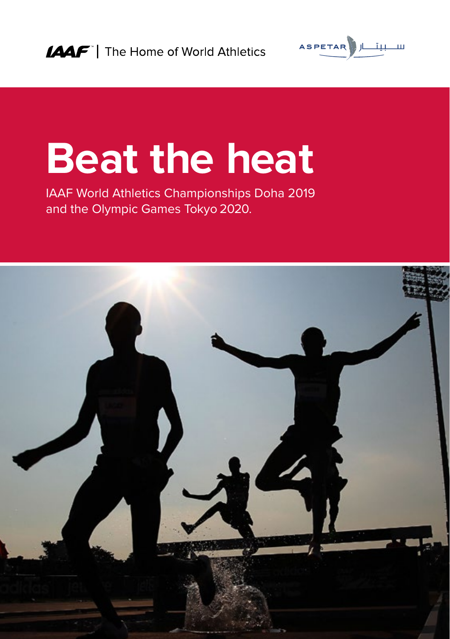

# **Beat the heat**

IAAF World Athletics Championships Doha 2019 and the Olympic Games Tokyo 2020.

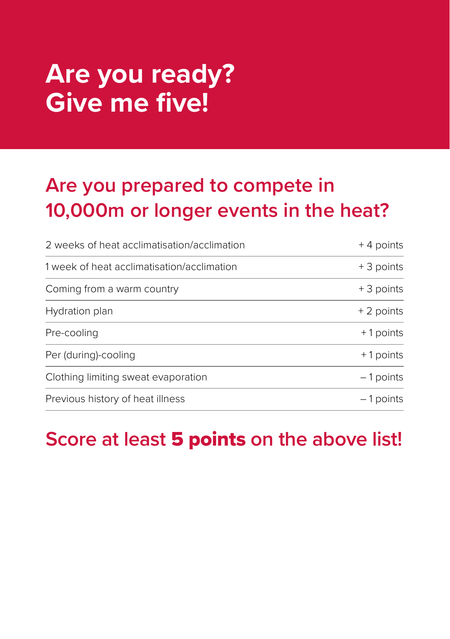### **Are you ready? Give me five!**

#### **Are you prepared to compete in 10,000m or longer events in the heat?**

| 2 weeks of heat acclimatisation/acclimation | $+4$ points |
|---------------------------------------------|-------------|
| 1 week of heat acclimatisation/acclimation  | + 3 points  |
| Coming from a warm country                  | + 3 points  |
| Hydration plan                              | + 2 points  |
| Pre-cooling                                 | +1 points   |
| Per (during)-cooling                        | +1 points   |
| Clothing limiting sweat evaporation         | $-1$ points |
| Previous history of heat illness            | $-1$ points |

#### **Score at least** 5 points **on the above list!**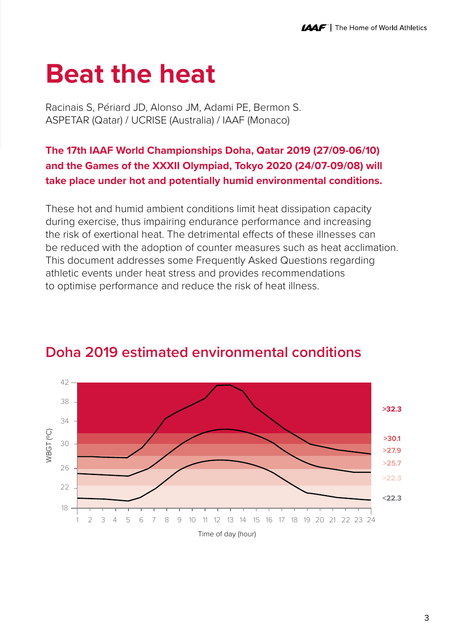### **Beat the heat**

Racinais S, Périard JD, Alonso JM, Adami PE, Bermon S. ASPETAR (Qatar) / UCRISE (Australia) / IAAF (Monaco)

#### **The 17th IAAF World Championships Doha, Qatar 2019 (27/09-06/10) and the Games of the XXXII Olympiad, Tokyo 2020 (24/07-09/08) will take place under hot and potentially humid environmental conditions.**

These hot and humid ambient conditions limit heat dissipation capacity during exercise, thus impairing endurance performance and increasing the risk of exertional heat. The detrimental effects of these illnesses can be reduced with the adoption of counter measures such as heat acclimation. This document addresses some Frequently Asked Questions regarding athletic events under heat stress and provides recommendations to optimise performance and reduce the risk of heat illness.



#### **Doha 2019 estimated environmental conditions**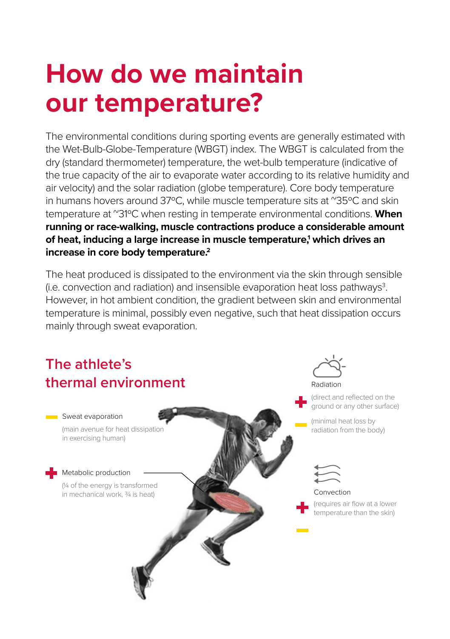### **How do we maintain our temperature?**

The environmental conditions during sporting events are generally estimated with the Wet-Bulb-Globe-Temperature (WBGT) index. The WBGT is calculated from the dry (standard thermometer) temperature, the wet-bulb temperature (indicative of the true capacity of the air to evaporate water according to its relative humidity and air velocity) and the solar radiation (globe temperature). Core body temperature in humans hovers around 37°C, while muscle temperature sits at "35°C and skin temperature at ~31ºC when resting in temperate environmental conditions. **When running or race-walking, muscle contractions produce a considerable amount of heat, inducing a large increase in muscle temperature,1 which drives an increase in core body temperature.2**

The heat produced is dissipated to the environment via the skin through sensible (i.e. convection and radiation) and insensible evaporation heat loss pathways $3$ . However, in hot ambient condition, the gradient between skin and environmental temperature is minimal, possibly even negative, such that heat dissipation occurs mainly through sweat evaporation.

# **The athlete's**

(main avenue for heat dissipation in exercising human)

Metabolic production

(¼ of the energy is transformed in mechanical work, 3/4 is heat)

### **thermal environment Sweat evaporation**



(direct and reflected on the ground or any other surface)

(minimal heat loss by radiation from the body)



Convection

(requires air flow at a lower temperature than the skin)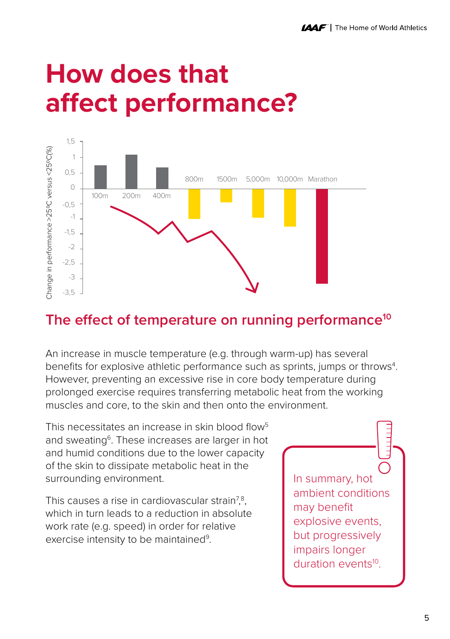### **How does that affect performance?**



#### **The effect of temperature on running performance10**

An increase in muscle temperature (e.g. through warm-up) has several benefits for explosive athletic performance such as sprints, jumps or throws<sup>4</sup>. However, preventing an excessive rise in core body temperature during prolonged exercise requires transferring metabolic heat from the working muscles and core, to the skin and then onto the environment.

This necessitates an increase in skin blood flow<sup>5</sup> and sweating<sup>6</sup>. These increases are larger in hot and humid conditions due to the lower capacity of the skin to dissipate metabolic heat in the surrounding environment.

This causes a rise in cardiovascular strain<sup>7,8</sup>, which in turn leads to a reduction in absolute work rate (e.g. speed) in order for relative exercise intensity to be maintained<sup>9</sup>.

In summary, hot ambient conditions may benefit explosive events, but progressively impairs longer duration events<sup>10</sup>.

 $\frac{1}{2}$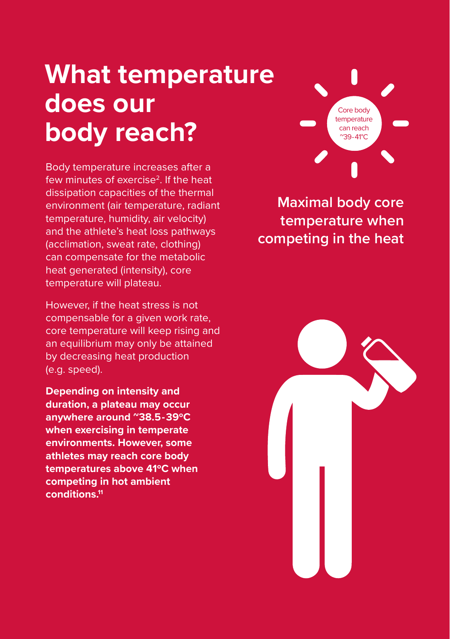### **What temperature does our body reach?**

Body temperature increases after a few minutes of exercise<sup>2</sup>. If the heat dissipation capacities of the thermal environment (air temperature, radiant temperature, humidity, air velocity) and the athlete's heat loss pathways (acclimation, sweat rate, clothing) can compensate for the metabolic heat generated (intensity), core temperature will plateau.

However, if the heat stress is not compensable for a given work rate, core temperature will keep rising and an equilibrium may only be attained by decreasing heat production (e.g. speed).

**Depending on intensity and duration, a plateau may occur anywhere around ~38.5-39ºC when exercising in temperate environments. However, some athletes may reach core body temperatures above 41ºC when competing in hot ambient conditions.11**



**Maximal body core temperature when competing in the heat** 

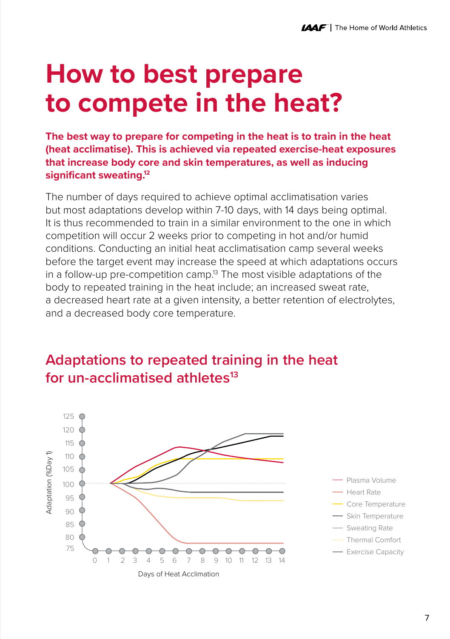### **How to best prepare to compete in the heat?**

**The best way to prepare for competing in the heat is to train in the heat (heat acclimatise). This is achieved via repeated exercise-heat exposures that increase body core and skin temperatures, as well as inducing significant sweating.12**

The number of days required to achieve optimal acclimatisation varies but most adaptations develop within 7-10 days, with 14 days being optimal. It is thus recommended to train in a similar environment to the one in which competition will occur 2 weeks prior to competing in hot and/or humid conditions. Conducting an initial heat acclimatisation camp several weeks before the target event may increase the speed at which adaptations occurs in a follow-up pre-competition camp.<sup>13</sup> The most visible adaptations of the body to repeated training in the heat include; an increased sweat rate, a decreased heart rate at a given intensity, a better retention of electrolytes, and a decreased body core temperature.

#### **Adaptations to repeated training in the heat for un-acclimatised athletes13**

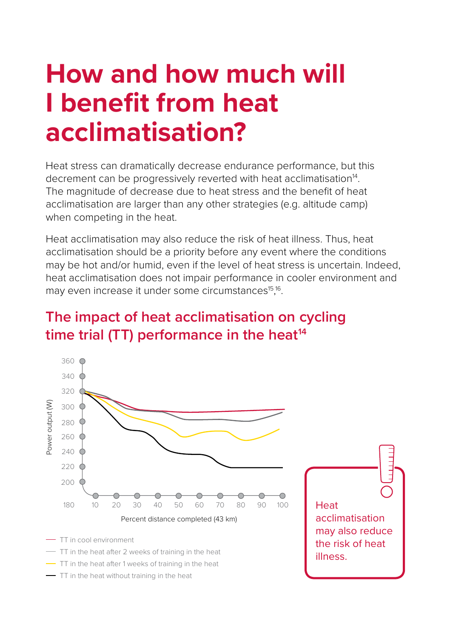### **How and how much will I benefit from heat acclimatisation?**

Heat stress can dramatically decrease endurance performance, but this decrement can be progressively reverted with heat acclimatisation<sup>14</sup>. The magnitude of decrease due to heat stress and the benefit of heat acclimatisation are larger than any other strategies (e.g. altitude camp) when competing in the heat.

Heat acclimatisation may also reduce the risk of heat illness. Thus, heat acclimatisation should be a priority before any event where the conditions may be hot and/or humid, even if the level of heat stress is uncertain. Indeed, heat acclimatisation does not impair performance in cooler environment and may even increase it under some circumstances<sup>15</sup>,<sup>16</sup>.

#### **The impact of heat acclimatisation on cycling**  time trial (TT) performance in the heat<sup>14</sup>

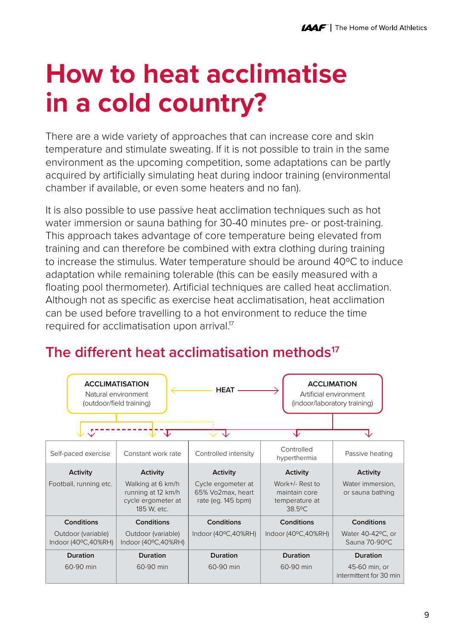### **How to heat acclimatise in a cold country?**

There are a wide variety of approaches that can increase core and skin temperature and stimulate sweating. If it is not possible to train in the same environment as the upcoming competition, some adaptations can be partly acquired by artificially simulating heat during indoor training (environmental chamber if available, or even some heaters and no fan).

It is also possible to use passive heat acclimation techniques such as hot water immersion or sauna bathing for 30-40 minutes pre- or post-training. This approach takes advantage of core temperature being elevated from training and can therefore be combined with extra clothing during training to increase the stimulus. Water temperature should be around 40ºC to induce adaptation while remaining tolerable (this can be easily measured with a floating pool thermometer). Artificial techniques are called heat acclimation. Although not as specific as exercise heat acclimatisation, heat acclimation can be used before travelling to a hot environment to reduce the time required for acclimatisation upon arrival.<sup>17</sup>

#### **ACCLIMATISATION ACCLIMATION HEAT** Natural environment Artificial environment (outdoor/field training)(indoor/laboratory training) Œ ᡕ ↴ Constant work rate Controlled intensity Controlled Self-paced exercise hyperthermia Passive heating **Activity Activity Activity Activity Activity** Work+/- Rest to Football, running etc. Walking at 6 km/h Cycle ergometer at Water immersion. running at 12 km/h 65% Vo2max, heart maintain core or sauna bathing cycle ergometer at rate (eg. 145 bpm) temperature at 185 W, etc. 38.50C **Conditions Conditions Conditions Conditions Conditions** Outdoor (variable) Outdoor (variable) Indoor (400C,40%RH) Indoor (400C,40%RH) Water 40-42<sup>0</sup>C, or Sauna 70-90°C Indoor (400C,40%RH) Indoor (400C,40%RH) **Duration Duration Duration Duration Duration** 60-90 min 60-90 min 60-90 min 60-90 min 45-60 min, or intermittent for 30 min

#### **The different heat acclimatisation methods17**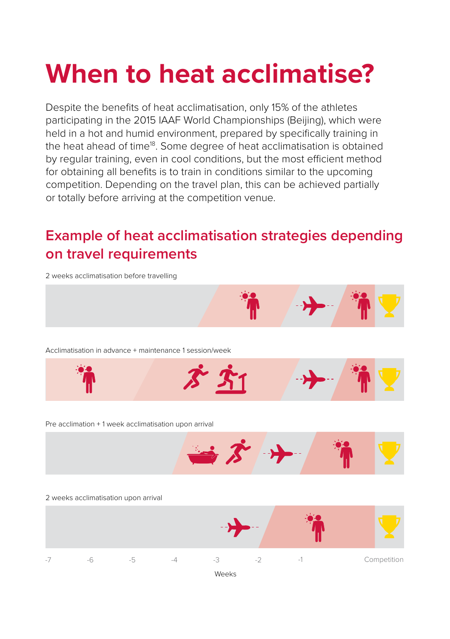## **When to heat acclimatise?**

Despite the benefits of heat acclimatisation, only 15% of the athletes participating in the 2015 IAAF World Championships (Beijing), which were held in a hot and humid environment, prepared by specifically training in the heat ahead of time<sup>18</sup>. Some degree of heat acclimatisation is obtained by regular training, even in cool conditions, but the most efficient method for obtaining all benefits is to train in conditions similar to the upcoming competition. Depending on the travel plan, this can be achieved partially or totally before arriving at the competition venue.

#### **Example of heat acclimatisation strategies depending on travel requirements**

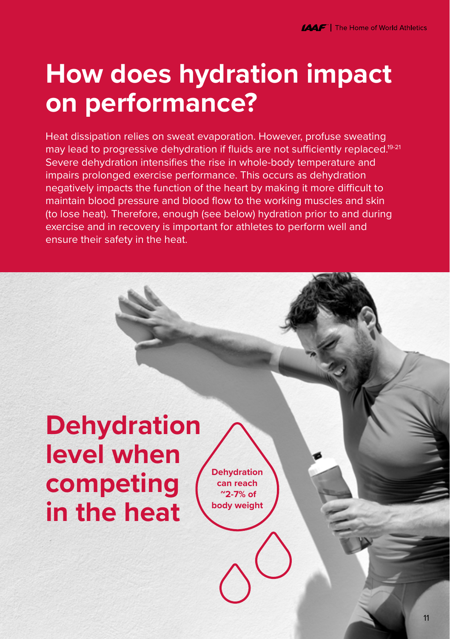### **How does hydration impact on performance?**

Heat dissipation relies on sweat evaporation. However, profuse sweating may lead to progressive dehydration if fluids are not sufficiently replaced.<sup>19-21</sup> Severe dehydration intensifies the rise in whole-body temperature and impairs prolonged exercise performance. This occurs as dehydration negatively impacts the function of the heart by making it more difficult to maintain blood pressure and blood flow to the working muscles and skin (to lose heat). Therefore, enough (see below) hydration prior to and during exercise and in recovery is important for athletes to perform well and ensure their safety in the heat.

#### **Dehydration level when competing in the heat**

**Dehydration can reach ~2-7% of body weight**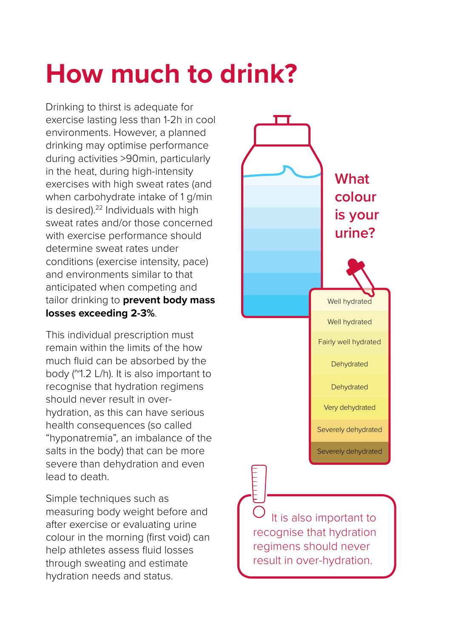### **How much to drink?**

Drinking to thirst is adequate for exercise lasting less than 1-2h in cool environments. However, a planned drinking may optimise performance during activities >90min, particularly in the heat, during high-intensity exercises with high sweat rates (and when carbohydrate intake of 1 g/min is desired).<sup>22</sup> Individuals with high sweat rates and/or those concerned with exercise performance should determine sweat rates under conditions (exercise intensity, pace) and environments similar to that anticipated when competing and tailor drinking to **prevent body mass losses exceeding 2-3%**.

This individual prescription must remain within the limits of the how much fluid can be absorbed by the body (~1.2 L/h). It is also important to recognise that hydration regimens should never result in overhydration, as this can have serious health consequences (so called "hyponatremia", an imbalance of the salts in the body) that can be more severe than dehydration and even lead to death.

Simple techniques such as measuring body weight before and after exercise or evaluating urine colour in the morning (first void) can help athletes assess fluid losses through sweating and estimate hydration needs and status.



 It is also important to recognise that hydration regimens should never result in over-hydration.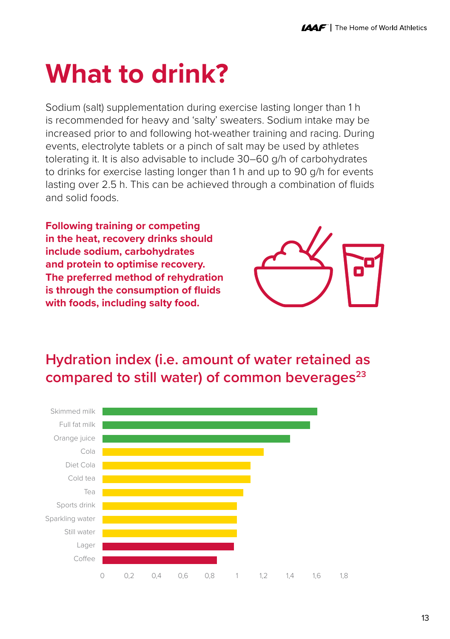### **What to drink?**

Sodium (salt) supplementation during exercise lasting longer than 1 h is recommended for heavy and 'salty' sweaters. Sodium intake may be increased prior to and following hot-weather training and racing. During events, electrolyte tablets or a pinch of salt may be used by athletes tolerating it. It is also advisable to include 30–60 g/h of carbohydrates to drinks for exercise lasting longer than 1 h and up to 90 g/h for events lasting over 2.5 h. This can be achieved through a combination of fluids and solid foods.

**Following training or competing in the heat, recovery drinks should include sodium, carbohydrates and protein to optimise recovery. The preferred method of rehydration is through the consumption of fluids with foods, including salty food.**



#### **Hydration index (i.e. amount of water retained as compared to still water) of common beverages23**

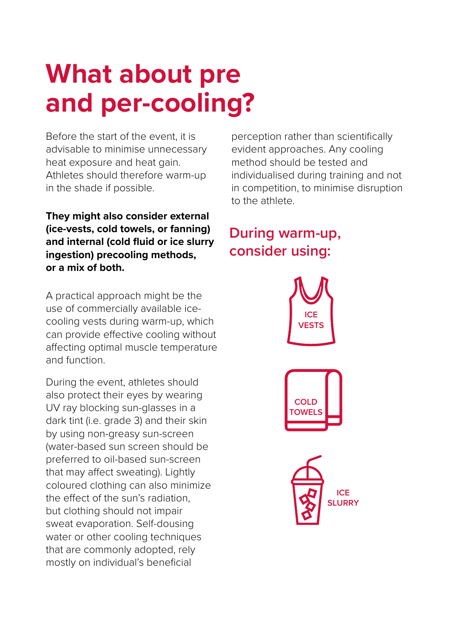### **What about pre and per-cooling?**

Before the start of the event, it is advisable to minimise unnecessary heat exposure and heat gain. Athletes should therefore warm-up in the shade if possible.

**They might also consider external (ice-vests, cold towels, or fanning) and internal (cold fluid or ice slurry ingestion) precooling methods, or a mix of both.**

A practical approach might be the use of commercially available icecooling vests during warm-up, which can provide effective cooling without affecting optimal muscle temperature and function.

During the event, athletes should also protect their eyes by wearing UV ray blocking sun-glasses in a dark tint (i.e. grade 3) and their skin by using non-greasy sun-screen (water-based sun screen should be preferred to oil-based sun-screen that may affect sweating). Lightly coloured clothing can also minimize the effect of the sun's radiation, but clothing should not impair sweat evaporation. Self-dousing water or other cooling techniques that are commonly adopted, rely mostly on individual's beneficial

perception rather than scientifically evident approaches. Any cooling method should be tested and individualised during training and not in competition, to minimise disruption to the athlete.

#### **During warm-up, consider using:**

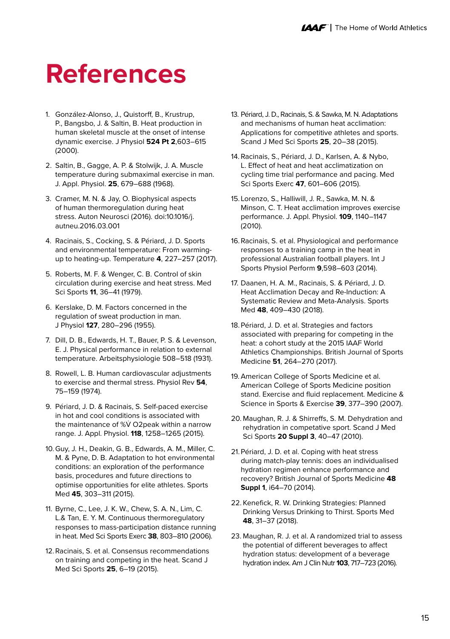#### **References**

- 1. González-Alonso, J., Quistorff, B., Krustrup, P., Bangsbo, J. & Saltin, B. Heat production in human skeletal muscle at the onset of intense dynamic exercise. J Physiol **524 Pt 2**,603–615 (2000).
- 2. Saltin, B., Gagge, A. P. & Stolwijk, J. A. Muscle temperature during submaximal exercise in man. J. Appl. Physiol. **25**, 679–688 (1968).
- 3. Cramer, M. N. & Jay, O. Biophysical aspects of human thermoregulation during heat stress. Auton Neurosci (2016). doi:10.1016/j. autneu.2016.03.001
- 4. Racinais, S., Cocking, S. & Périard, J. D. Sports and environmental temperature: From warmingup to heating-up. Temperature **4**, 227–257 (2017).
- 5. Roberts, M. F. & Wenger, C. B. Control of skin circulation during exercise and heat stress. Med Sci Sports **11**, 36–41 (1979).
- 6. Kerslake, D. M. Factors concerned in the regulation of sweat production in man. J Physiol **127**, 280–296 (1955).
- 7. Dill, D. B., Edwards, H. T., Bauer, P. S. & Levenson, E. J. Physical performance in relation to external temperature. Arbeitsphysiologie 508–518 (1931).
- 8. Rowell, L. B. Human cardiovascular adjustments to exercise and thermal stress. Physiol Rev **54**, 75–159 (1974).
- 9. Périard, J. D. & Racinais, S. Self-paced exercise in hot and cool conditions is associated with the maintenance of %V̇ O2peak within a narrow range. J. Appl. Physiol. **118**, 1258–1265 (2015).
- 10. Guy, J. H., Deakin, G. B., Edwards, A. M., Miller, C. M. & Pyne, D. B. Adaptation to hot environmental conditions: an exploration of the performance basis, procedures and future directions to optimise opportunities for elite athletes. Sports Med **45**, 303–311 (2015).
- 11. Byrne, C., Lee, J. K. W., Chew, S. A. N., Lim, C. L.& Tan, E. Y. M. Continuous thermoregulatory responses to mass-participation distance running in heat. Med Sci Sports Exerc **38**, 803–810 (2006).
- 12. Racinais, S. et al. Consensus recommendations on training and competing in the heat. Scand J Med Sci Sports **25**, 6–19 (2015).
- 13. Périard, J. D., Racinais, S. & Sawka, M. N. Adaptations and mechanisms of human heat acclimation: Applications for competitive athletes and sports. Scand J Med Sci Sports **25**, 20–38 (2015).
- 14. Racinais, S., Périard, J. D., Karlsen, A. & Nybo, L. Effect of heat and heat acclimatization on cycling time trial performance and pacing. Med Sci Sports Exerc **47**, 601–606 (2015).
- 15. Lorenzo, S., Halliwill, J. R., Sawka, M. N. & Minson, C. T. Heat acclimation improves exercise performance. J. Appl. Physiol. **109**, 1140–1147 (2010).
- 16. Racinais, S. et al. Physiological and performance responses to a training camp in the heat in professional Australian football players. Int J Sports Physiol Perform **9**,598–603 (2014).
- 17. Daanen, H. A. M., Racinais, S. & Périard, J. D. Heat Acclimation Decay and Re-Induction: A Systematic Review and Meta-Analysis. Sports Med **48**, 409–430 (2018).
- 18. Périard, J. D. et al. Strategies and factors associated with preparing for competing in the heat: a cohort study at the 2015 IAAF World Athletics Championships. British Journal of Sports Medicine **51**, 264–270 (2017).
- 19. American College of Sports Medicine et al. American College of Sports Medicine position stand. Exercise and fluid replacement. Medicine & Science in Sports & Exercise **39**, 377–390 (2007).
- 20. Maughan, R. J. & Shirreffs, S. M. Dehydration and rehydration in competative sport. Scand J Med Sci Sports **20 Suppl 3**, 40–47 (2010).
- 21. Périard, J. D. et al. Coping with heat stress during match-play tennis: does an individualised hydration regimen enhance performance and recovery? British Journal of Sports Medicine **48 Suppl 1**, i64–70 (2014).
- 22. Kenefick, R. W. Drinking Strategies: Planned Drinking Versus Drinking to Thirst. Sports Med **48**, 31–37 (2018).
- 23. Maughan, R. J. et al. A randomized trial to assess the potential of different beverages to affect hydration status: development of a beverage hydration index. Am J Clin Nutr **103**, 717–723 (2016).